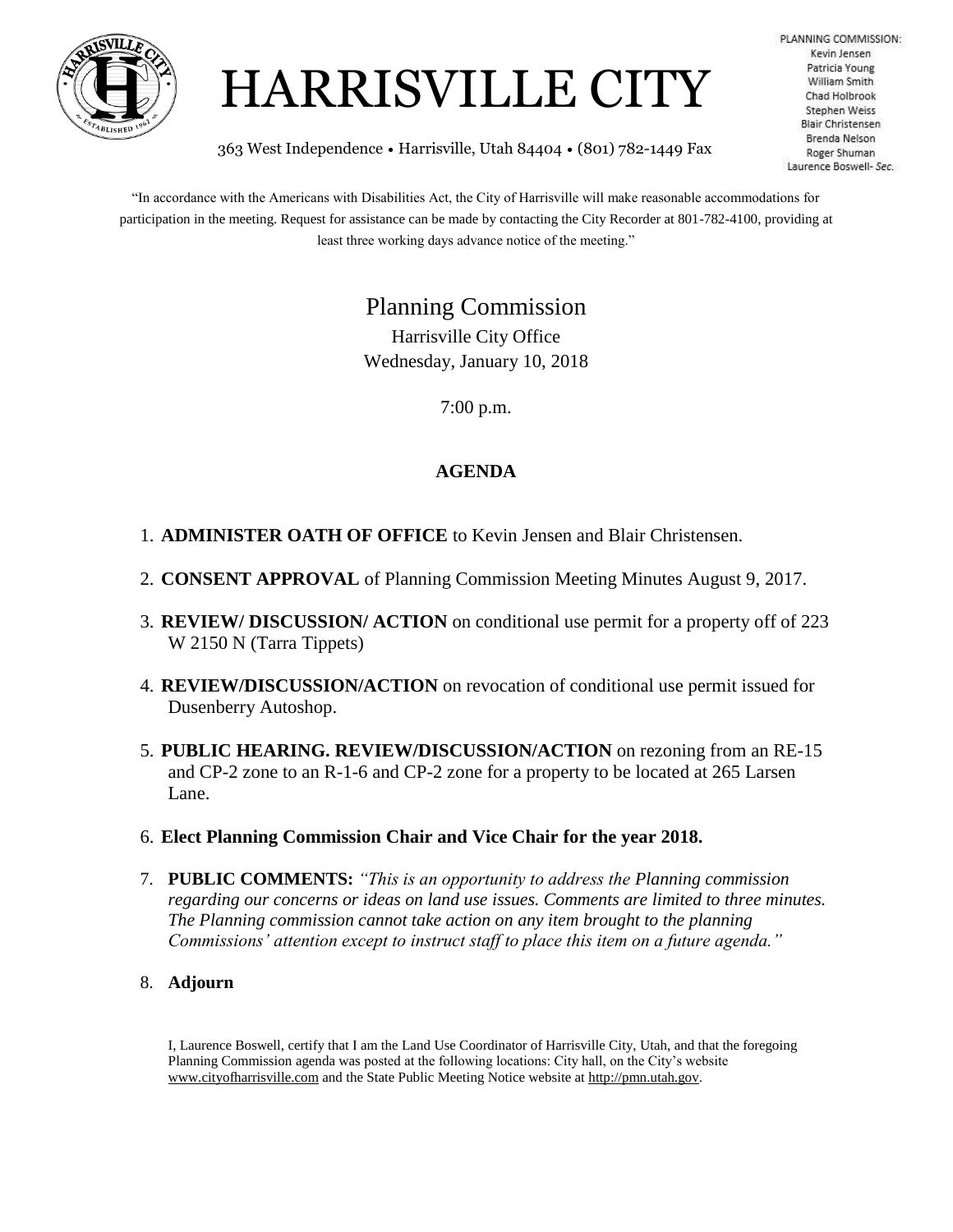



PLANNING COMMISSION: Kevin Jensen Patricia Young William Smith **Chad Holbrook** Stephen Weiss **Blair Christensen** Brenda Nelson Roger Shuman Laurence Boswell- Sec.

363 West Independence • Harrisville, Utah 84404 • (801) 782-1449 Fax

"In accordance with the Americans with Disabilities Act, the City of Harrisville will make reasonable accommodations for participation in the meeting. Request for assistance can be made by contacting the City Recorder at 801-782-4100, providing at least three working days advance notice of the meeting."

Planning Commission

Harrisville City Office Wednesday, January 10, 2018

7:00 p.m.

## **AGENDA**

- 1. **ADMINISTER OATH OF OFFICE** to Kevin Jensen and Blair Christensen.
- 2. **CONSENT APPROVAL** of Planning Commission Meeting Minutes August 9, 2017.
- 3. **REVIEW/ DISCUSSION/ ACTION** on conditional use permit for a property off of 223 W 2150 N (Tarra Tippets)
- 4. **REVIEW/DISCUSSION/ACTION** on revocation of conditional use permit issued for Dusenberry Autoshop.
- 5. **PUBLIC HEARING. REVIEW/DISCUSSION/ACTION** on rezoning from an RE-15 and CP-2 zone to an R-1-6 and CP-2 zone for a property to be located at 265 Larsen Lane.
- 6. **Elect Planning Commission Chair and Vice Chair for the year 2018.**
- 7. **PUBLIC COMMENTS:** *"This is an opportunity to address the Planning commission regarding our concerns or ideas on land use issues. Comments are limited to three minutes. The Planning commission cannot take action on any item brought to the planning Commissions' attention except to instruct staff to place this item on a future agenda."*
- 8. **Adjourn**

I, Laurence Boswell, certify that I am the Land Use Coordinator of Harrisville City, Utah, and that the foregoing Planning Commission agenda was posted at the following locations: City hall, on the City's website www.cityofharrisville.com and the State Public Meeting Notice website at http://pmn.utah.gov.